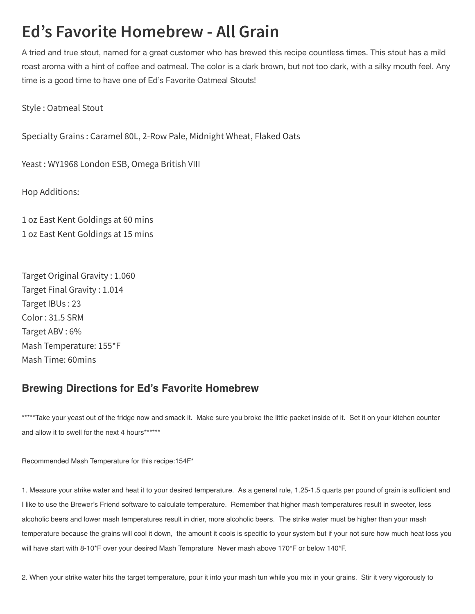## **Ed's Favorite Homebrew - All Grain**

A tried and true stout, named for a great customer who has brewed this recipe countless times. This stout has a mild roast aroma with a hint of coffee and oatmeal. The color is a dark brown, but not too dark, with a silky mouth feel. Any time is a good time to have one of Ed's Favorite Oatmeal Stouts!

Style : Oatmeal Stout

Specialty Grains : Caramel 80L, 2-Row Pale, Midnight Wheat, Flaked Oats

Yeast : WY1968 London ESB, Omega British VIII

Hop Additions:

1 oz East Kent Goldings at 60 mins 1 oz East Kent Goldings at 15 mins

Target Original Gravity : 1.060 Target Final Gravity : 1.014 Target IBUs : 23 Color : 31.5 SRM Target ABV : 6% Mash Temperature: 155\*F Mash Time: 60mins

## Brewing Directions for Ed's Favorite Homebrew

\*\*\*\*\*Take your yeast out of the fridge now and smack it. Make sure you broke the little packet inside of it. Set it on your kitchen counter and allow it to swell for the next 4 hours\*\*\*\*\*\*\*

Recommended Mash Temperature for this recipe:154F\*

1. Measure your strike water and heat it to your desired temperature. As a general rule, 1.25-1.5 quarts per pound of grain is sufficient and I like to use the Brewer's Friend software to calculate temperature. Remember that higher mash temperatures result in sweeter, less alcoholic beers and lower mash temperatures result in drier, more alcoholic beers. The strike water must be higher than your mash temperature because the grains will cool it down, the amount it cools is specific to your system but if your not sure how much heat loss you will have start with 8-10\*F over your desired Mash Temprature Never mash above 170\*F or below 140\*F.

2. When your strike water hits the target temperature, pour it into your mash tun while you mix in your grains. Stir it very vigorously to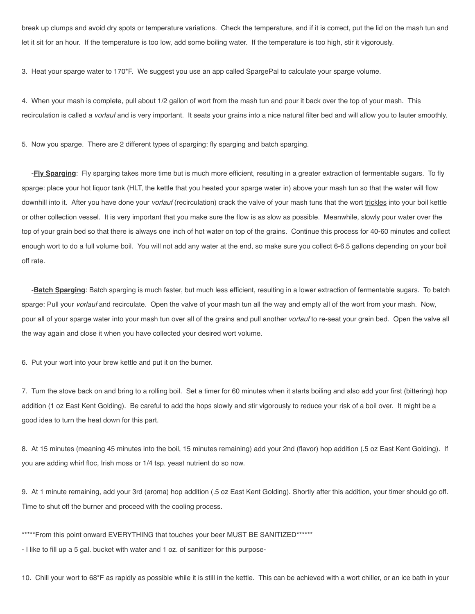break up clumps and avoid dry spots or temperature variations. Check the temperature, and if it is correct, put the lid on the mash tun and let it sit for an hour. If the temperature is too low, add some boiling water. If the temperature is too high, stir it vigorously.

3. Heat your sparge water to 170\*F. We suggest you use an app called SpargePal to calculate your sparge volume.

4. When your mash is complete, pull about 1/2 gallon of wort from the mash tun and pour it back over the top of your mash. This recirculation is called a *vorlauf* and is very important. It seats your grains into a nice natural filter bed and will allow you to lauter smoothly.

5. Now you sparge. There are 2 different types of sparging: fly sparging and batch sparging.

-Fly Sparging: Fly sparging takes more time but is much more efficient, resulting in a greater extraction of fermentable sugars. To fly sparge: place your hot liquor tank (HLT, the kettle that you heated your sparge water in) above your mash tun so that the water will flow downhill into it. After you have done your *vorlauf* (recirculation) crack the valve of your mash tuns that the wort trickles into your boil kettle or other collection vessel. It is very important that you make sure the flow is as slow as possible. Meanwhile, slowly pour water over the top of your grain bed so that there is always one inch of hot water on top of the grains. Continue this process for 40-60 minutes and collect enough wort to do a full volume boil. You will not add any water at the end, so make sure you collect 6-6.5 gallons depending on your boil off rate.

-Batch Sparging: Batch sparging is much faster, but much less efficient, resulting in a lower extraction of fermentable sugars. To batch sparge: Pull your *vorlauf* and recirculate. Open the valve of your mash tun all the way and empty all of the wort from your mash. Now, pour all of your sparge water into your mash tun over all of the grains and pull another vorlauf to re-seat your grain bed. Open the valve all the way again and close it when you have collected your desired wort volume.

6. Put your wort into your brew kettle and put it on the burner.

7. Turn the stove back on and bring to a rolling boil. Set a timer for 60 minutes when it starts boiling and also add your first (bittering) hop addition (1 oz East Kent Golding). Be careful to add the hops slowly and stir vigorously to reduce your risk of a boil over. It might be a good idea to turn the heat down for this part.

8. At 15 minutes (meaning 45 minutes into the boil, 15 minutes remaining) add your 2nd (flavor) hop addition (.5 oz East Kent Golding). If you are adding whirl floc, Irish moss or 1/4 tsp. yeast nutrient do so now.

9. At 1 minute remaining, add your 3rd (aroma) hop addition (.5 oz East Kent Golding). Shortly after this addition, your timer should go off. Time to shut off the burner and proceed with the cooling process.

\*\*\*\*\*From this point onward EVERYTHING that touches your beer MUST BE SANITIZED\*\*\*\*\*\*

- I like to fill up a 5 gal. bucket with water and 1 oz. of sanitizer for this purpose-

10. Chill your wort to 68\*F as rapidly as possible while it is still in the kettle. This can be achieved with a wort chiller, or an ice bath in your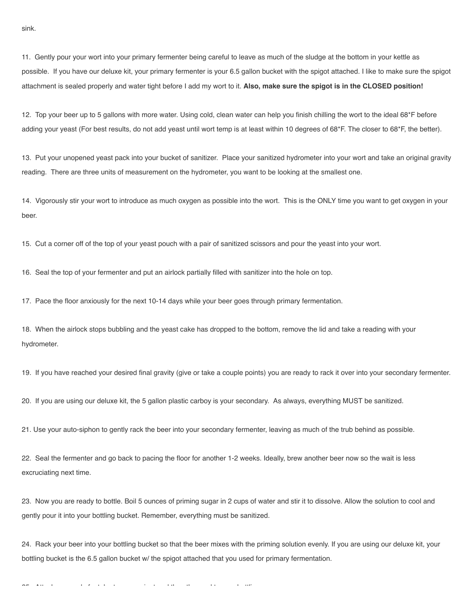11. Gently pour your wort into your primary fermenter being careful to leave as much of the sludge at the bottom in your kettle as possible. If you have our deluxe kit, your primary fermenter is your 6.5 gallon bucket with the spigot attached. I like to make sure the spigot attachment is sealed properly and water tight before I add my wort to it. Also, make sure the spigot is in the CLOSED position!

12. Top your beer up to 5 gallons with more water. Using cold, clean water can help you finish chilling the wort to the ideal 68\*F before adding your yeast (For best results, do not add yeast until wort temp is at least within 10 degrees of 68\*F. The closer to 68\*F, the better).

13. Put your unopened yeast pack into your bucket of sanitizer. Place your sanitized hydrometer into your wort and take an original gravity reading. There are three units of measurement on the hydrometer, you want to be looking at the smallest one.

14. Vigorously stir your wort to introduce as much oxygen as possible into the wort. This is the ONLY time you want to get oxygen in your beer.

15. Cut a corner off of the top of your yeast pouch with a pair of sanitized scissors and pour the yeast into your wort.

16. Seal the top of your fermenter and put an airlock partially filled with sanitizer into the hole on top.

17. Pace the floor anxiously for the next 10-14 days while your beer goes through primary fermentation.

18. When the airlock stops bubbling and the yeast cake has dropped to the bottom, remove the lid and take a reading with your hydrometer.

19. If you have reached your desired final gravity (give or take a couple points) you are ready to rack it over into your secondary fermenter.

20. If you are using our deluxe kit, the 5 gallon plastic carboy is your secondary. As always, everything MUST be sanitized.

21. Use your auto-siphon to gently rack the beer into your secondary fermenter, leaving as much of the trub behind as possible.

22. Seal the fermenter and go back to pacing the floor for another 1-2 weeks. Ideally, brew another beer now so the wait is less excruciating next time.

23. Now you are ready to bottle. Boil 5 ounces of priming sugar in 2 cups of water and stir it to dissolve. Allow the solution to cool and gently pour it into your bottling bucket. Remember, everything must be sanitized.

24. Rack your beer into your bottling bucket so that the beer mixes with the priming solution evenly. If you are using our deluxe kit, your bottling bucket is the 6.5 gallon bucket w/ the spigot attached that you used for primary fermentation.